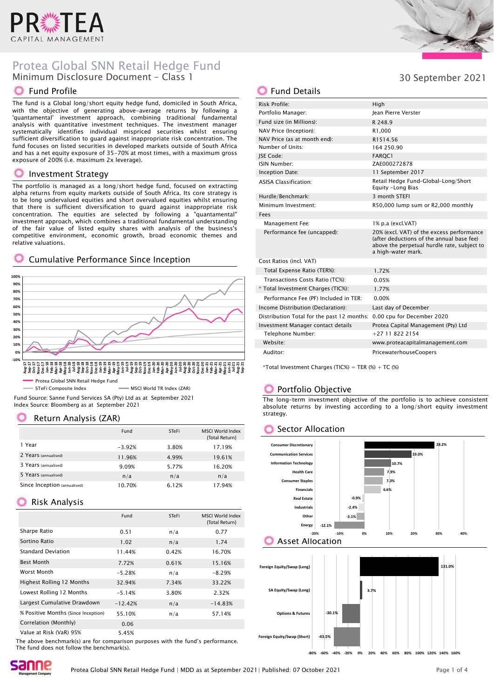

# Protea Global SNN Retail Hedge Fund Minimum Disclosure Document - Class 1

#### **W** Fund Profile

The fund is a Global long/short equity hedge fund, domiciled in South Africa, with the objective of generating above-average returns by following a 'quantamental' investment approach, combining traditional fundamental analysis with quantitative investment techniques. The investment manager systematically identifies individual mispriced securities whilst ensuring sufficient diversification to guard against inappropriate risk concentration. The fund focuses on listed securities in developed markets outside of South Africa and has a net equity exposure of 35-70% at most times, with a maximum gross exposure of 200% (i.e. maximum 2x leverage).

#### Investment Strategy

The portfolio is managed as a long/short hedge fund, focused on extracting alpha returns from equity markets outside of South Africa. Its core strategy is to be long undervalued equities and short overvalued equities whilst ensuring that there is sufficient diversification to guard against inappropriate risk concentration. The equities are selected by following a "quantamental" investment approach, which combines a traditional fundamental understanding of the fair value of listed equity shares with analysis of the business's competitive environment, economic growth, broad economic themes and relative valuations.

#### Cumulative Performance Since Inception



STeFi Composite Index **MSCI World TR Index (ZAR)** 

Fund Source: Sanne Fund Services SA (Pty) Ltd as at September 2021 Index Source: Bloomberg as at September 2021

### Return Analysis (ZAR)

|                              | Fund     | STeFi | MSCI World Index<br>(Total Return) |
|------------------------------|----------|-------|------------------------------------|
| 1 Year                       | $-3.92%$ | 3.80% | 17.19%                             |
| 2 Years (annualised)         | 11.96%   | 4.99% | 19.61%                             |
| 3 Years (annualised)         | 9.09%    | 5.77% | 16.20%                             |
| 5 Years (annualised)         | n/a      | n/a   | n/a                                |
| Since Inception (annualised) | 10.70%   | 6.12% | 17.94%                             |

### Risk Analysis

|                                     | Fund      | STeFi | MSCI World Index<br>(Total Return) |
|-------------------------------------|-----------|-------|------------------------------------|
| Sharpe Ratio                        | 0.51      | n/a   | 0.77                               |
| Sortino Ratio                       | 1.02      | n/a   | 1.74                               |
| <b>Standard Deviation</b>           | 11.44%    | 0.42% | 16.70%                             |
| <b>Best Month</b>                   | 7.72%     | 0.61% | 15.16%                             |
| Worst Month                         | $-5.28%$  | n/a   | $-8.29%$                           |
| <b>Highest Rolling 12 Months</b>    | 32.94%    | 7.34% | 33.22%                             |
| Lowest Rolling 12 Months            | $-5.14%$  | 3.80% | 2.32%                              |
| Largest Cumulative Drawdown         | $-12.42%$ | n/a   | $-14.83%$                          |
| % Positive Months (Since Inception) | 55.10%    | n/a   | 57.14%                             |
| Correlation (Monthly)               | 0.06      |       |                                    |
| Value at Risk (VaR) 95%             | 5.45%     |       |                                    |

The above benchmark(s) are for comparison purposes with the fund's performance. The fund does not follow the benchmark(s).



30 September 2021

# **... Fund Details**

| Risk Profile:                              | High                                                                                                                                                        |
|--------------------------------------------|-------------------------------------------------------------------------------------------------------------------------------------------------------------|
| Portfolio Manager:                         | lean Pierre Verster                                                                                                                                         |
| Fund size (in Millions):                   | R 248.9                                                                                                                                                     |
| NAV Price (Inception):                     | R1,000                                                                                                                                                      |
| NAV Price (as at month end):               | R1514.56                                                                                                                                                    |
| Number of Units:                           | 164 250.90                                                                                                                                                  |
| <b>ISE Code:</b>                           | <b>FAROC1</b>                                                                                                                                               |
| ISIN Number:                               | ZAE000272878                                                                                                                                                |
| Inception Date:                            | 11 September 2017                                                                                                                                           |
| <b>ASISA Classification:</b>               | Retail Hedge Fund-Global-Long/Short<br>Equity -Long Bias                                                                                                    |
| Hurdle/Benchmark:                          | 3 month STEFI                                                                                                                                               |
| Minimum Investment:                        | R50,000 lump sum or R2,000 monthly                                                                                                                          |
| Fees                                       |                                                                                                                                                             |
| Management Fee:                            | 1% p.a (excl.VAT)                                                                                                                                           |
| Performance fee (uncapped):                | 20% (excl. VAT) of the excess performance<br>(after deductions of the annual base fee)<br>above the perpetual hurdle rate, subject to<br>a high-water mark. |
| Cost Ratios (incl. VAT)                    |                                                                                                                                                             |
| Total Expense Ratio (TER%):                | 1.72%                                                                                                                                                       |
| Transactions Costs Ratio (TC%):            | 0.05%                                                                                                                                                       |
| * Total Investment Charges (TIC%):         | 1.77%                                                                                                                                                       |
| Performance Fee (PF) Included in TER:      | 0.00%                                                                                                                                                       |
| Income Distribution (Declaration):         | Last day of December                                                                                                                                        |
| Distribution Total for the past 12 months: | 0.00 cpu for December 2020                                                                                                                                  |
| Investment Manager contact details         | Protea Capital Management (Pty) Ltd                                                                                                                         |
| Telephone Number:                          | $+27118222154$                                                                                                                                              |
| Website:                                   | www.proteacapitalmanagement.com                                                                                                                             |
| Auditor:                                   | PricewaterhouseCoopers                                                                                                                                      |

\*Total Investment Charges (TIC%) = TER  $%$  + TC  $%$ 

# Portfolio Objective

The long-term investment objective of the portfolio is to achieve consistent absolute returns by investing according to a long/short equity investment strategy.

#### Sector Allocation



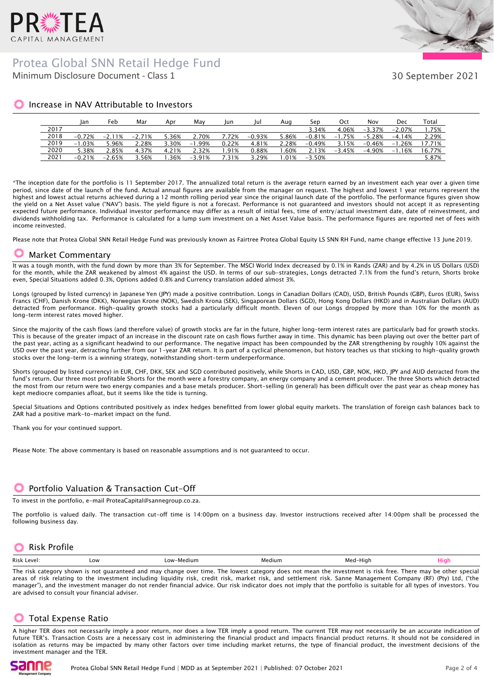

## Minimum Disclosure Document - Class 1 Protea Global SNN Retail Hedge Fund



30 September 2021

### Increase in NAV Attributable to Investors

|      | ian      | Feb       | Mar      | Apr   | Mav      | lun   | lul      | Aua   | Sep       | Oct      | Nov                 | Dec      | Total  |
|------|----------|-----------|----------|-------|----------|-------|----------|-------|-----------|----------|---------------------|----------|--------|
| 2017 |          |           |          |       |          |       |          |       | 3.34%     | 4.06%    | $-3.37\%$ $-2.07\%$ |          | 1.75%  |
| 2018 | $-0.72%$ | $-2.11\%$ | $-2.71%$ | 5.36% | 2.70%    | 7.72% | $-0.93%$ | 5.86% | $-0.81%$  | $-1.75%$ | $-5.28%$            | $-4.14%$ | 2.29%  |
| 2019 | $-1.03%$ | 5.96%     | 2.28%    | 3.30% | -1.99%   | 0.22% | 4.81%    | 2.28% | $-0.49%$  | 3.15%    | $-0.46\%$ $-1.26\%$ |          | 17.71% |
| 2020 | 5.38%    | 2.85%     | 4.37%    | 4.21% | 2.32%    | .91%  | 0.88%    | .60%  | 2.13%     | -3.45%   | -4.90%              | $-1.16%$ | 16.77% |
| 2021 | $-0.21%$ | $-2.65%$  | 3.56%    | 1.36% | $-3.91%$ | .31%  | 3.29%    | .01%  | $-3.50\%$ |          |                     |          | 5.87%  |

\*The inception date for the portfolio is 11 September 2017. The annualized total return is the average return earned by an investment each year over a given time period, since date of the launch of the fund. Actual annual figures are available from the manager on request. The highest and lowest 1 year returns represent the highest and lowest actual returns achieved during a 12 month rolling period year since the original launch date of the portfolio. The performance figures given show the yield on a Net Asset value ("NAV") basis. The yield figure is not a forecast. Performance is not guaranteed and investors should not accept it as representing expected future performance. Individual investor performance may differ as a result of initial fees, time of entry/actual investment date, date of reinvestment, and dividends withholding tax. Performance is calculated for a lump sum investment on a Net Asset Value basis. The performance figures are reported net of fees with income reinvested.

Please note that Protea Global SNN Retail Hedge Fund was previously known as Fairtree Protea Global Equity LS SNN RH Fund, name change effective 13 June 2019.

#### Market Commentary

It was a tough month, with the fund down by more than 3% for September. The MSCI World Index decreased by 0.1% in Rands (ZAR) and by 4.2% in US Dollars (USD) for the month, while the ZAR weakened by almost 4% against the USD. In terms of our sub-strategies, Longs detracted 7.1% from the fund's return, Shorts broke even, Special Situations added 0.3%, Options added 0.8% and Currency translation added almost 3%.

Longs (grouped by listed currency) in Japanese Yen (JPY) made a positive contribution. Longs in Canadian Dollars (CAD), USD, British Pounds (GBP), Euros (EUR), Swiss Francs (CHF), Danish Krone (DKK), Norwegian Krone (NOK), Swedish Krona (SEK), Singaporean Dollars (SGD), Hong Kong Dollars (HKD) and in Australian Dollars (AUD) detracted from performance. High-quality growth stocks had a particularly difficult month. Eleven of our Longs dropped by more than 10% for the month as long-term interest rates moved higher.

Since the majority of the cash flows (and therefore value) of growth stocks are far in the future, higher long-term interest rates are particularly bad for growth stocks. This is because of the greater impact of an increase in the discount rate on cash flows further away in time. This dynamic has been playing out over the better part of the past year, acting as a significant headwind to our performance. The negative impact has been compounded by the ZAR strengthening by roughly 10% against the USD over the past year, detracting further from our 1-year ZAR return. It is part of a cyclical phenomenon, but history teaches us that sticking to high-quality growth stocks over the long-term is a winning strategy, notwithstanding short-term underperformance.

Shorts (grouped by listed currency) in EUR, CHF, DKK, SEK and SGD contributed positively, while Shorts in CAD, USD, GBP, NOK, HKD, JPY and AUD detracted from the fund's return. Our three most profitable Shorts for the month were a forestry company, an energy company and a cement producer. The three Shorts which detracted the most from our return were two energy companies and a base metals producer. Short-selling (in general) has been difficult over the past year as cheap money has kept mediocre companies afloat, but it seems like the tide is turning.

Special Situations and Options contributed positively as index hedges benefitted from lower global equity markets. The translation of foreign cash balances back to ZAR had a positive mark-to-market impact on the fund.

Thank you for your continued support.

Please Note: The above commentary is based on reasonable assumptions and is not guaranteed to occur.

#### Portfolio Valuation & Transaction Cut-Off

To invest in the portfolio, e-mail ProteaCapital@sannegroup.co.za.

The portfolio is valued daily. The transaction cut-off time is 14:00pm on a business day. Investor instructions received after 14:00pm shall be processed the following business day.

### **※ Risk Profile**

| Risk<br>۱۵۱٬۵۱۰ | Low | $\bigcap M$<br>Medium<br>LUW | "ediun.<br>we | ·Hiar<br>IVI C | ю |
|-----------------|-----|------------------------------|---------------|----------------|---|
|                 |     |                              |               |                |   |

The risk category shown is not guaranteed and may change over time. The lowest category does not mean the investment is risk free. There may be other special areas of risk relating to the investment including liquidity risk, credit risk, market risk, and settlement risk. Sanne Management Company (RF) (Pty) Ltd, ("the manager"), and the investment manager do not render financial advice. Our risk indicator does not imply that the portfolio is suitable for all types of investors. You are advised to consult your financial adviser.

# Total Expense Ratio

A higher TER does not necessarily imply a poor return, nor does a low TER imply a good return. The current TER may not necessarily be an accurate indication of future TER's. Transaction Costs are a necessary cost in administering the financial product and impacts financial product returns. It should not be considered in isolation as returns may be impacted by many other factors over time including market returns, the type of financial product, the investment decisions of the investment manager and the TER.

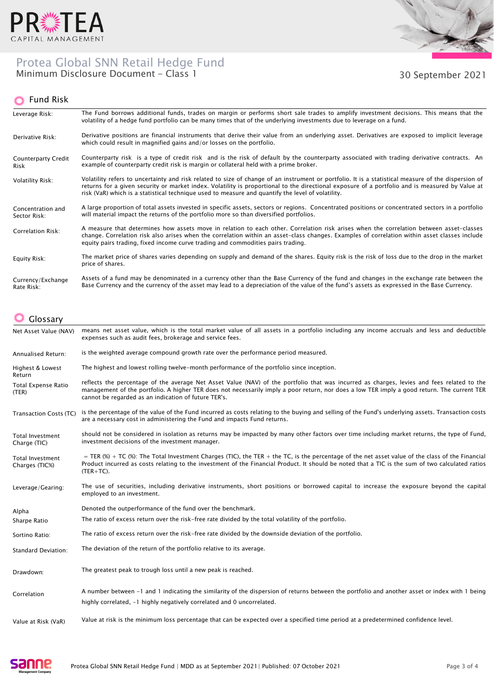

# Protea Global SNN Retail Hedge Fund Minimum Disclosure Document - Class 1 30 September 2021



#### Fund Risk

| Leverage Risk:                     | The Fund borrows additional funds, trades on margin or performs short sale trades to amplify investment decisions. This means that the<br>volatility of a hedge fund portfolio can be many times that of the underlying investments due to leverage on a fund.                                                                                                                                              |
|------------------------------------|-------------------------------------------------------------------------------------------------------------------------------------------------------------------------------------------------------------------------------------------------------------------------------------------------------------------------------------------------------------------------------------------------------------|
| Derivative Risk:                   | Derivative positions are financial instruments that derive their value from an underlying asset. Derivatives are exposed to implicit leverage<br>which could result in magnified gains and/or losses on the portfolio.                                                                                                                                                                                      |
| <b>Counterparty Credit</b><br>Risk | Counterparty risk is a type of credit risk and is the risk of default by the counterparty associated with trading derivative contracts. An<br>example of counterparty credit risk is margin or collateral held with a prime broker.                                                                                                                                                                         |
| Volatility Risk:                   | Volatility refers to uncertainty and risk related to size of change of an instrument or portfolio. It is a statistical measure of the dispersion of<br>returns for a given security or market index. Volatility is proportional to the directional exposure of a portfolio and is measured by Value at<br>risk (VaR) which is a statistical technique used to measure and quantify the level of volatility. |
| Concentration and<br>Sector Risk:  | A large proportion of total assets invested in specific assets, sectors or regions. Concentrated positions or concentrated sectors in a portfolio<br>will material impact the returns of the portfolio more so than diversified portfolios.                                                                                                                                                                 |
| <b>Correlation Risk:</b>           | A measure that determines how assets move in relation to each other. Correlation risk arises when the correlation between asset-classes<br>change. Correlation risk also arises when the correlation within an asset-class changes. Examples of correlation within asset classes include<br>equity pairs trading, fixed income curve trading and commodities pairs trading.                                 |
| Equity Risk:                       | The market price of shares varies depending on supply and demand of the shares. Equity risk is the risk of loss due to the drop in the market<br>price of shares.                                                                                                                                                                                                                                           |
| Currency/Exchange<br>Rate Risk:    | Assets of a fund may be denominated in a currency other than the Base Currency of the fund and changes in the exchange rate between the<br>Base Currency and the currency of the asset may lead to a depreciation of the value of the fund's assets as expressed in the Base Currency.                                                                                                                      |

# Glossary

| Net Asset Value (NAV)                     | means net asset value, which is the total market value of all assets in a portfolio including any income accruals and less and deductible<br>expenses such as audit fees, brokerage and service fees.                                                                                                                                             |
|-------------------------------------------|---------------------------------------------------------------------------------------------------------------------------------------------------------------------------------------------------------------------------------------------------------------------------------------------------------------------------------------------------|
| <b>Annualised Return:</b>                 | is the weighted average compound growth rate over the performance period measured.                                                                                                                                                                                                                                                                |
| Highest & Lowest<br>Return                | The highest and lowest rolling twelve-month performance of the portfolio since inception.                                                                                                                                                                                                                                                         |
| <b>Total Expense Ratio</b><br>(TER)       | reflects the percentage of the average Net Asset Value (NAV) of the portfolio that was incurred as charges, levies and fees related to the<br>management of the portfolio. A higher TER does not necessarily imply a poor return, nor does a low TER imply a good return. The current TER<br>cannot be regarded as an indication of future TER's. |
| Transaction Costs (TC)                    | is the percentage of the value of the Fund incurred as costs relating to the buying and selling of the Fund's underlying assets. Transaction costs<br>are a necessary cost in administering the Fund and impacts Fund returns.                                                                                                                    |
| Total Investment<br>Charge (TIC)          | should not be considered in isolation as returns may be impacted by many other factors over time including market returns, the type of Fund,<br>investment decisions of the investment manager.                                                                                                                                                   |
| <b>Total Investment</b><br>Charges (TIC%) | = TER (%) + TC (%): The Total Investment Charges (TIC), the TER + the TC, is the percentage of the net asset value of the class of the Financial<br>Product incurred as costs relating to the investment of the Financial Product. It should be noted that a TIC is the sum of two calculated ratios<br>$(TER+TC)$ .                              |
| Leverage/Gearing:                         | The use of securities, including derivative instruments, short positions or borrowed capital to increase the exposure beyond the capital<br>employed to an investment.                                                                                                                                                                            |
| Alpha                                     | Denoted the outperformance of the fund over the benchmark.                                                                                                                                                                                                                                                                                        |
| Sharpe Ratio                              | The ratio of excess return over the risk-free rate divided by the total volatility of the portfolio.                                                                                                                                                                                                                                              |
| Sortino Ratio:                            | The ratio of excess return over the risk-free rate divided by the downside deviation of the portfolio.                                                                                                                                                                                                                                            |
| <b>Standard Deviation:</b>                | The deviation of the return of the portfolio relative to its average.                                                                                                                                                                                                                                                                             |
| Drawdown:                                 | The greatest peak to trough loss until a new peak is reached.                                                                                                                                                                                                                                                                                     |
| Correlation                               | A number between -1 and 1 indicating the similarity of the dispersion of returns between the portfolio and another asset or index with 1 being<br>highly correlated, $-1$ highly negatively correlated and 0 uncorrelated.                                                                                                                        |
| Value at Risk (VaR)                       | Value at risk is the minimum loss percentage that can be expected over a specified time period at a predetermined confidence level.                                                                                                                                                                                                               |